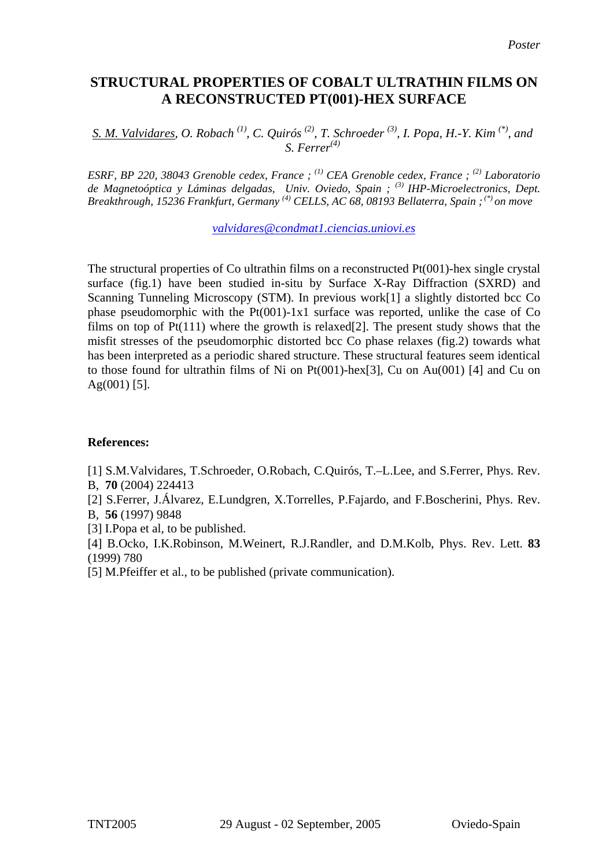## **STRUCTURAL PROPERTIES OF COBALT ULTRATHIN FILMS ON A RECONSTRUCTED PT(001)-HEX SURFACE**

*S. M. Valvidares, O. Robach*<sup>(1)</sup>, C. Quirós<sup>(2)</sup>, T. Schroeder<sup>(3)</sup>, I. Popa, H.-Y. Kim<sup>(\*)</sup>, and *S. Ferrer(4)*

*ESRF, BP 220, 38043 Grenoble cedex, France ; (1) CEA Grenoble cedex, France ; (2) Laboratorio de Magnetoóptica y Láminas delgadas, Univ. Oviedo, Spain ; (3) IHP-Microelectronics, Dept. Breakthrough, 15236 Frankfurt, Germany (4) CELLS, AC 68, 08193 Bellaterra, Spain ; (\*) on move* 

*valvidares@condmat1.ciencias.uniovi.es*

The structural properties of Co ultrathin films on a reconstructed Pt(001)-hex single crystal surface (fig.1) have been studied in-situ by Surface X-Ray Diffraction (SXRD) and Scanning Tunneling Microscopy (STM). In previous work[1] a slightly distorted bcc Co phase pseudomorphic with the Pt(001)-1x1 surface was reported, unlike the case of Co films on top of  $Pt(111)$  where the growth is relaxed[2]. The present study shows that the misfit stresses of the pseudomorphic distorted bcc Co phase relaxes (fig.2) towards what has been interpreted as a periodic shared structure. These structural features seem identical to those found for ultrathin films of Ni on Pt(001)-hex[3], Cu on Au(001) [4] and Cu on  $Ag(001)$  [5].

## **References:**

[1] S.M.Valvidares, T.Schroeder, O.Robach, C.Quirós, T.–L.Lee, and S.Ferrer, Phys. Rev. B, **70** (2004) 224413

[2] S.Ferrer, J.Álvarez, E.Lundgren, X.Torrelles, P.Fajardo, and F.Boscherini, Phys. Rev. B, **56** (1997) 9848

[3] I.Popa et al, to be published.

[4] B.Ocko, I.K.Robinson, M.Weinert, R.J.Randler, and D.M.Kolb, Phys. Rev. Lett. **83**  (1999) 780

[5] M.Pfeiffer et al., to be published (private communication).